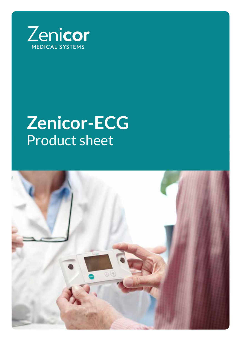

# **Zenicor-ECG** Product sheet

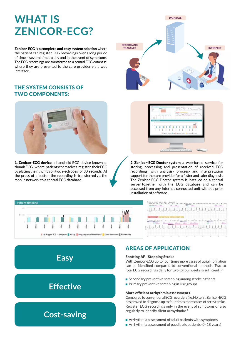# **WHAT IS ZENICOR-ECG?**

the patient can register ECG recordings over a long period of time – several times a day and in the event of symptoms. The ECG recordings are transferred to a central ECG database, where they are presented to the care provider via a web interface.

# THE SYSTEM CONSISTS OF TWO COMPONENTS:



1. Zenicor-ECG device, a handheld ECG device known as thumb ECG, where patients themselves register their ECG by placing their thumbs on two electrodes for 30 seconds. At the press of a button the recording is transferred via the mobile network to a central ECG database.





2. Zenicor-ECG Doctor system, a web-based service for storing, processing and presentation of received ECG recordings; with analysis-, process- and interpretation support for the care provider for a faster and safer diagnosis. The Zenicor-ECG Doctor system is installed on a central server together with the ECG database and can be accessed from any internet connected unit without prior installation of software.





# AREAS OF APPLICATION

#### Spotting AF - Stopping Stroke

With Zenicor-ECG up to four times more cases of atrial fibrillation can be identified compared to conventional methods. Two to four ECG recordings daily for two to four weeks is sufficient.<sup>1,2</sup>

- **Secondary preventive screening among stroke patients**
- $\blacksquare$  Primary preventive screening in risk groups

#### More efficient arrhythmia assessments

Compared to conventional ECG recorders (i.e. Holters), Zenicor-ECG has proved to diagnose up to four times more cases of arrhythmias. Register ECG recordings only in the event of symptoms or also regularly to identify silent arrhythmias.3

- **Arrhythmia assessment of adult patients with symptoms**
- Arrhythmia assessment of paediatric patients  $(0-18 \text{ years})$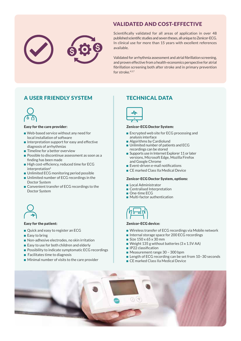

# VALIDATED AND COST-EFFECTIVE

Scientifically validated for all areas of application in over 48 published scientific studies and seven theses, all unique to Zenicor-ECG. In clinical use for more than 15 years with excellent references available.

Validated for arrhythmia assessment and atrial fibrillation screening, and proven effective from a health-economics perspective for atrial fibrillation screening both after stroke and in primary prevention for stroke.<sup>4,5,7</sup>

# A USER FRIENDLY SYSTEM



#### Easy for the care provider:

- Web-based service without any need for local installation of software
- $\blacksquare$  Interpretation support for easy and effective diagnosis of arrhythmias
- **Timeline for a better overview**
- **Possible to discontinue assessment as soon as a** finding has been made
- High cost-efficiency, reduced time for ECG interpretation<sup>6</sup>
- **Unlimited ECG monitoring period possible**
- **Unlimited number of ECG recordings in the** Doctor System
- **Convenient transfer of ECG recordings to the** Doctor System



#### Easy for the patient:

- Quick and easy to register an ECG
- $\blacksquare$  Easy to bring
- Non-adhesive electrodes, no skin irritation
- Easy to use for both children and elderly
- **Possibility to indicate symptomatic ECG recordings**
- $\blacksquare$  Facilitates time to diagnosis
- **Minimal number of visits to the care provider**

## TECHNICAL DATA



#### Zenicor-ECG Doctor System:

- **Encrypted web site for ECG processing and** analysis interface
- Algorithms by Cardiolund
- **Unlimited number of patients and ECG** recordings can be stored
- Supports use in Internet Explorer 11 or later versions, Microsoft Edge, Mozilla Firefox and Google Chrome
- Event-driven e-mail notifications
- CE marked Class IIa Medical Device

#### Zenicor-ECG Doctor System, options:

- **Local Administrator**
- Centralised Interpretation
- One-time ECG
- **Multi-factor authentication**



#### Zenicor-ECG device:

- Wireless transfer of ECG recordings via Mobile network
- Internal storage space for 200 ECG recordings
- Size  $150 \times 65 \times 30$  mm
- Weight 135 g without batteries (3 x 1.5V AA)
- **IP22** classification
- Measurement range 30 300 bpm
- Length of ECG recording can be set from 10-30 seconds
- CE marked Class IIa Medical Device